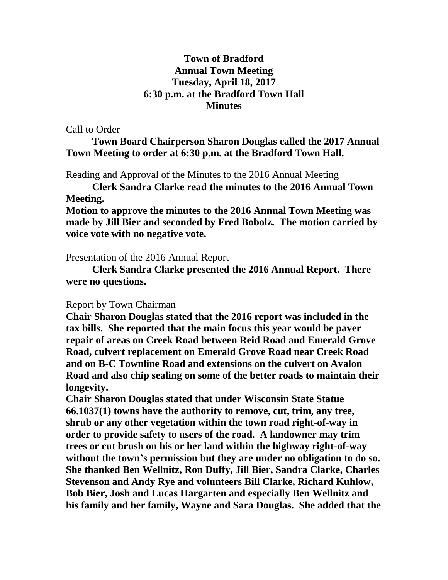## **Town of Bradford Annual Town Meeting Tuesday, April 18, 2017 6:30 p.m. at the Bradford Town Hall Minutes**

Call to Order

**Town Board Chairperson Sharon Douglas called the 2017 Annual Town Meeting to order at 6:30 p.m. at the Bradford Town Hall.**

Reading and Approval of the Minutes to the 2016 Annual Meeting

**Clerk Sandra Clarke read the minutes to the 2016 Annual Town Meeting.** 

**Motion to approve the minutes to the 2016 Annual Town Meeting was made by Jill Bier and seconded by Fred Bobolz. The motion carried by voice vote with no negative vote.**

Presentation of the 2016 Annual Report

**Clerk Sandra Clarke presented the 2016 Annual Report. There were no questions.**

## Report by Town Chairman

**Chair Sharon Douglas stated that the 2016 report was included in the tax bills. She reported that the main focus this year would be paver repair of areas on Creek Road between Reid Road and Emerald Grove Road, culvert replacement on Emerald Grove Road near Creek Road and on B-C Townline Road and extensions on the culvert on Avalon Road and also chip sealing on some of the better roads to maintain their longevity.** 

**Chair Sharon Douglas stated that under Wisconsin State Statue 66.1037(1) towns have the authority to remove, cut, trim, any tree, shrub or any other vegetation within the town road right-of-way in order to provide safety to users of the road. A landowner may trim trees or cut brush on his or her land within the highway right-of-way without the town's permission but they are under no obligation to do so. She thanked Ben Wellnitz, Ron Duffy, Jill Bier, Sandra Clarke, Charles Stevenson and Andy Rye and volunteers Bill Clarke, Richard Kuhlow, Bob Bier, Josh and Lucas Hargarten and especially Ben Wellnitz and his family and her family, Wayne and Sara Douglas. She added that the**